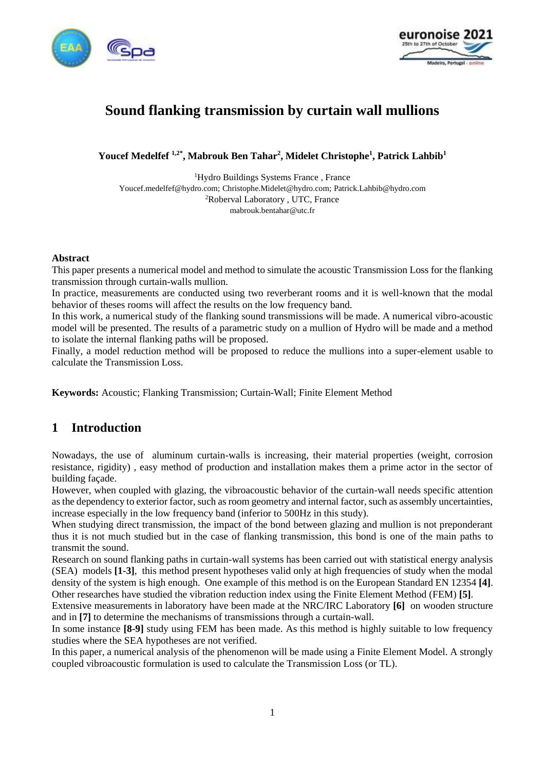



# **Sound flanking transmission by curtain wall mullions**

**Youcef Medelfef 1,2\* , Mabrouk Ben Tahar<sup>2</sup> , Midelet Christophe<sup>1</sup> , Patrick Lahbib<sup>1</sup>**

<sup>1</sup>Hydro Buildings Systems France , France Youcef.medelfef@hydro.com; Christophe.Midelet@hydro.com; Patrick.Lahbib@hydro.com <sup>2</sup>Roberval Laboratory , UTC, France mabrouk.bentahar@utc.fr

## **Abstract**

This paper presents a numerical model and method to simulate the acoustic Transmission Loss for the flanking transmission through curtain-walls mullion.

In practice, measurements are conducted using two reverberant rooms and it is well-known that the modal behavior of theses rooms will affect the results on the low frequency band.

In this work, a numerical study of the flanking sound transmissions will be made. A numerical vibro-acoustic model will be presented. The results of a parametric study on a mullion of Hydro will be made and a method to isolate the internal flanking paths will be proposed.

Finally, a model reduction method will be proposed to reduce the mullions into a super-element usable to calculate the Transmission Loss.

**Keywords:** Acoustic; Flanking Transmission; Curtain-Wall; Finite Element Method

## **1 Introduction**

Nowadays, the use of aluminum curtain-walls is increasing, their material properties (weight, corrosion resistance, rigidity) , easy method of production and installation makes them a prime actor in the sector of building façade.

However, when coupled with glazing, the vibroacoustic behavior of the curtain-wall needs specific attention as the dependency to exterior factor, such as room geometry and internal factor, such as assembly uncertainties, increase especially in the low frequency band (inferior to 500Hz in this study).

When studying direct transmission, the impact of the bond between glazing and mullion is not preponderant thus it is not much studied but in the case of flanking transmission, this bond is one of the main paths to transmit the sound.

Research on sound flanking paths in curtain-wall systems has been carried out with statistical energy analysis (SEA) models **[1-3]**, this method present hypotheses valid only at high frequencies of study when the modal density of the system is high enough. One example of this method is on the European Standard EN 12354 **[4]**. Other researches have studied the vibration reduction index using the Finite Element Method (FEM) **[5]**.

Extensive measurements in laboratory have been made at the NRC/IRC Laboratory **[6]** on wooden structure and in **[7]** to determine the mechanisms of transmissions through a curtain-wall.

In some instance **[8-9]** study using FEM has been made. As this method is highly suitable to low frequency studies where the SEA hypotheses are not verified.

In this paper, a numerical analysis of the phenomenon will be made using a Finite Element Model. A strongly coupled vibroacoustic formulation is used to calculate the Transmission Loss (or TL).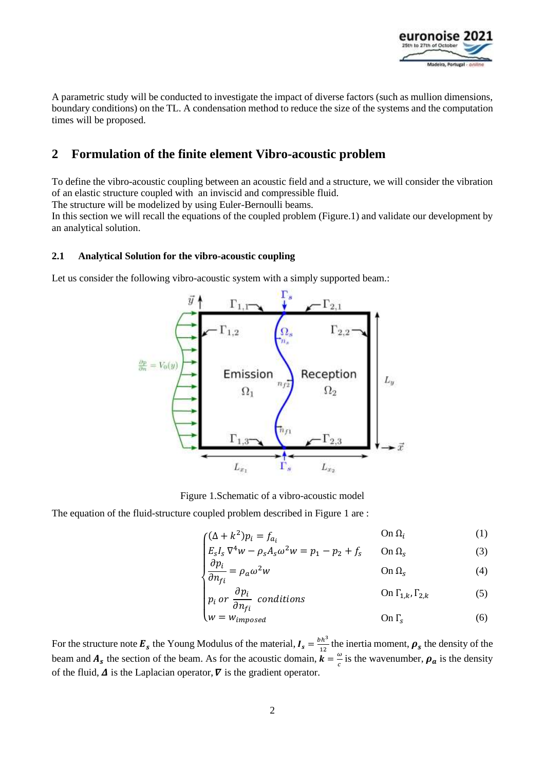

A parametric study will be conducted to investigate the impact of diverse factors (such as mullion dimensions, boundary conditions) on the TL. A condensation method to reduce the size of the systems and the computation times will be proposed.

## **2 Formulation of the finite element Vibro-acoustic problem**

To define the vibro-acoustic coupling between an acoustic field and a structure, we will consider the vibration of an elastic structure coupled with an inviscid and compressible fluid.

The structure will be modelized by using Euler-Bernoulli beams.

In this section we will recall the equations of the coupled problem (Figure.1) and validate our development by an analytical solution.

## **2.1 Analytical Solution for the vibro-acoustic coupling**

Let us consider the following vibro-acoustic system with a simply supported beam.:



Figure 1.Schematic of a vibro-acoustic model

The equation of the fluid-structure coupled problem described in Figure 1 are :

$$
\int (\Delta + k^2) p_i = f_{a_i} \qquad \text{On } \Omega_i \tag{1}
$$

$$
\begin{cases} E_s I_s \nabla^4 w - \rho_s A_s \omega^2 w = p_1 - p_2 + f_s & \text{On } \Omega_s \\ \nabla^2 w & \text{On } \Omega_s \end{cases} \tag{3}
$$

$$
\begin{cases}\n\frac{\partial p_i}{\partial n_{fi}} = \rho_a \omega^2 w & \text{On } \Omega_s \\
\frac{\partial p_i}{\partial n_{fi}} = \rho_a \omega^2 w & \text{On } \Omega_s\n\end{cases} (4)
$$

$$
\begin{cases}\np_i \text{ or } \frac{\partial p_i}{\partial n_{fi}} \text{ conditions} & \text{On } \Gamma_{1,k}, \Gamma_{2,k} \\
w = w.\n\end{cases}
$$
\n(5)

$$
\left\{ w = w_{imposed} \right\}
$$
 On  $\Gamma_s$  (6)

For the structure note  $\mathbf{E}_s$  the Young Modulus of the material,  $I_s = \frac{bh^3}{12}$  $\frac{dn^2}{12}$  the inertia moment,  $\rho_s$  the density of the beam and  $A_s$  the section of the beam. As for the acoustic domain,  $\vec{k} = \frac{\omega}{c}$  $\frac{\omega}{c}$  is the wavenumber,  $\rho_a$  is the density of the fluid,  $\Delta$  is the Laplacian operator,  $\nabla$  is the gradient operator.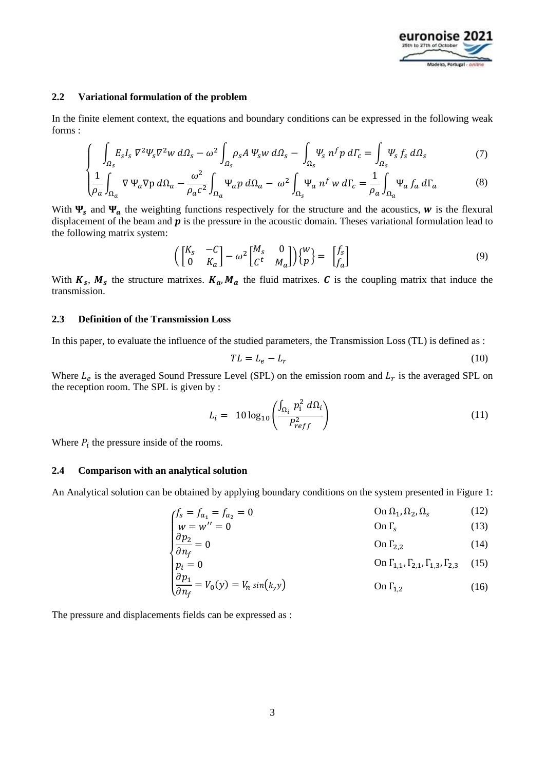

#### **2.2 Variational formulation of the problem**

In the finite element context, the equations and boundary conditions can be expressed in the following weak forms :

$$
\int_{\Omega_S} \int_{\Omega_S} E_S I_S \nabla^2 \Psi_S \nabla^2 w \, d\Omega_S - \omega^2 \int_{\Omega_S} \rho_S A \, \Psi_S w \, d\Omega_S - \int_{\Omega_S} \Psi_S \, n^f p \, d\Gamma_c = \int_{\Omega_S} \Psi_S \, f_S \, d\Omega_S \tag{7}
$$

$$
\left(\frac{1}{\rho_a}\int_{\Omega_a} \nabla \Psi_a \nabla p \, d\Omega_a - \frac{\omega^2}{\rho_a c^2} \int_{\Omega_a} \Psi_a p \, d\Omega_a - \omega^2 \int_{\Omega_s} \Psi_a n^f \, w \, d\Gamma_c = \frac{1}{\rho_a} \int_{\Omega_a} \Psi_a f_a \, d\Gamma_a \tag{8}
$$

With  $\Psi_s$  and  $\Psi_a$  the weighting functions respectively for the structure and the acoustics, w is the flexural displacement of the beam and  $\boldsymbol{p}$  is the pressure in the acoustic domain. Theses variational formulation lead to the following matrix system:

$$
\left( \begin{bmatrix} K_s & -C \\ 0 & K_a \end{bmatrix} - \omega^2 \begin{bmatrix} M_s & 0 \\ C^t & M_a \end{bmatrix} \right) \begin{Bmatrix} w \\ p \end{Bmatrix} = \begin{bmatrix} f_s \\ f_a \end{bmatrix}
$$
\n(9)

With  $K_s$ ,  $M_s$  the structure matrixes.  $K_a$ ,  $M_a$  the fluid matrixes. C is the coupling matrix that induce the transmission.

### **2.3 Definition of the Transmission Loss**

In this paper, to evaluate the influence of the studied parameters, the Transmission Loss (TL) is defined as :

$$
TL = L_e - L_r \tag{10}
$$

Where  $L_e$  is the averaged Sound Pressure Level (SPL) on the emission room and  $L_r$  is the averaged SPL on the reception room. The SPL is given by :

$$
L_i = 10 \log_{10} \left( \frac{\int_{\Omega_i} p_i^2 d\Omega_i}{P_{reff}^2} \right) \tag{11}
$$

Where  $P_i$  the pressure inside of the rooms.

#### **2.4 Comparison with an analytical solution**

An Analytical solution can be obtained by applying boundary conditions on the system presented in Figure 1:

$$
f_s = f_{a_1} = f_{a_2} = 0
$$
 On  $\Omega_1, \Omega_2, \Omega_s$  (12)  
\n
$$
w = w'' = 0
$$
 On  $\Gamma_s$  (13)

$$
\begin{cases}\n\frac{w - w}{\partial p_2} = 0 & \text{on } \Gamma_{2,2} \\
\frac{w - w}{\partial n_f} = 0 & \text{on } \Gamma_{2,2}\n\end{cases}
$$
\n(14)

$$
p_i = 0
$$
 On  $\Gamma_{1,1}, \Gamma_{2,1}, \Gamma_{1,3}, \Gamma_{2,3}$  (15)  
\n $\partial p_1 = V_1(x) - V_2(x)$ 

$$
\left(\frac{\partial p_1}{\partial n_f} = V_0(y) = V_n \sin(k_y y)\right) \qquad \text{On } \Gamma_{1,2} \tag{16}
$$

The pressure and displacements fields can be expressed as :

 $\overline{1}$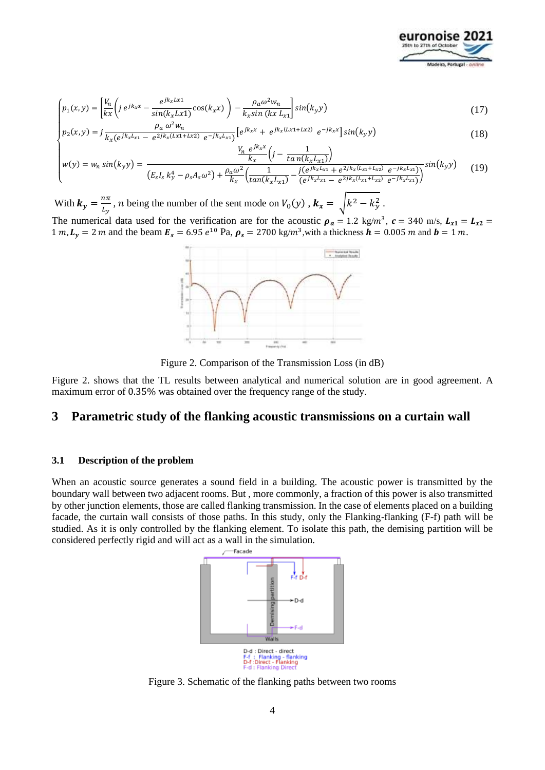

$$
\left(p_1(x,y) = \left[\frac{V_n}{kx}\left(j e^{jk_x x} - \frac{e^{jk_x Lx1}}{\sin(k_x Lx1)}\cos(k_x x)\right) - \frac{\rho_a \omega^2 w_n}{k_x \sin(kx L_x)}\right] \sin(k_y y) \right]
$$
(17)

$$
\begin{cases}\n\rho_a \omega^2 w_n \\
p_2(x, y) = j \frac{\rho_a \omega^2 w_n}{k_x (e^{jk_x L_{x1}} - e^{2jk_x (Lx1 + Lx2)} e^{-jk_x L_{x1}})} \left[ e^{jk_x x} + e^{jk_x (Lx1 + Lx2)} e^{-jk_x x} \right] \sin(k_y y)\n\end{cases} \tag{18}
$$

$$
w(y) = w_n \sin(k_y y) = \frac{\frac{V_n e^{jk_x x}}{k_x} \left( j - \frac{1}{\tan(k_x L_{x1})} \right)}{\left( E_s I_s k_y^4 - \rho_s A_s \omega^2 \right) + \frac{\rho_a \omega^2}{k_x} \left( \frac{1}{\tan(k_x L_{x1})} - \frac{j(e^{jk_x L_{x1}} + e^{2jk_x (L_{x1} + L_{x2})} e^{-jk_x L_{x1}})}{(e^{jk_x L_{x1}} - e^{2jk_x (L_{x1} + L_{x2})} e^{-jk_x L_{x1}})} \right)^{\frac{1}{2}} \sin(k_y y) \tag{19}
$$

With  $k_y = \frac{n\pi}{l_x}$  $\frac{dn}{L_y}$ , *n* being the number of the sent mode on  $V_0(y)$  ,  $\mathbf{k}_x = \sqrt{k^2 - k_y^2}$ .

The numerical data used for the verification are for the acoustic  $\rho_a = 1.2 \text{ kg/m}^3$ ,  $c = 340 \text{ m/s}$ ,  $L_{x1} = L_{x2} =$ 1 m,  $L_y = 2$  m and the beam  $E_s = 6.95 e^{10}$  Pa,  $\rho_s = 2700 \text{ kg/m}^3$ , with a thickness  $h = 0.005$  m and  $b = 1$  m.



Figure 2. Comparison of the Transmission Loss (in dB)

Figure 2. shows that the TL results between analytical and numerical solution are in good agreement. A maximum error of 0.35% was obtained over the frequency range of the study.

## **3 Parametric study of the flanking acoustic transmissions on a curtain wall**

#### **3.1 Description of the problem**

When an acoustic source generates a sound field in a building. The acoustic power is transmitted by the boundary wall between two adjacent rooms. But , more commonly, a fraction of this power is also transmitted by other junction elements, those are called flanking transmission. In the case of elements placed on a building facade, the curtain wall consists of those paths. In this study, only the Flanking-flanking (F-f) path will be studied. As it is only controlled by the flanking element. To isolate this path, the demising partition will be considered perfectly rigid and will act as a wall in the simulation.



Figure 3. Schematic of the flanking paths between two rooms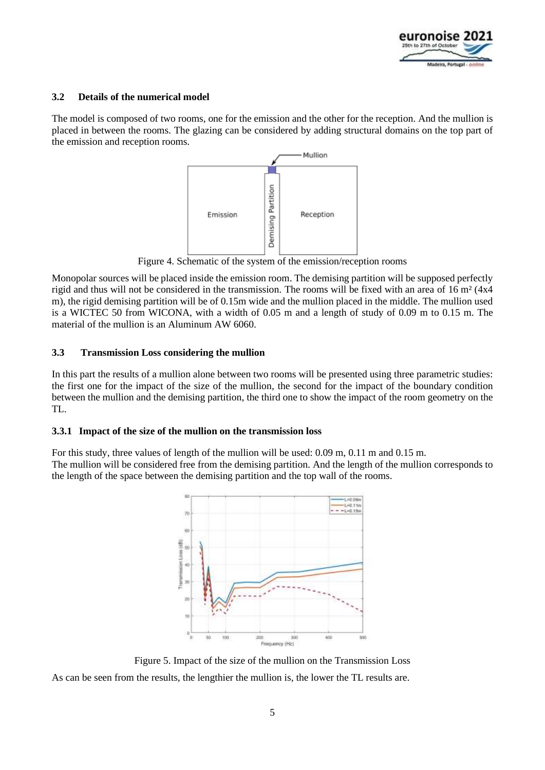

## **3.2 Details of the numerical model**

The model is composed of two rooms, one for the emission and the other for the reception. And the mullion is placed in between the rooms. The glazing can be considered by adding structural domains on the top part of the emission and reception rooms.



Figure 4. Schematic of the system of the emission/reception rooms

Monopolar sources will be placed inside the emission room. The demising partition will be supposed perfectly rigid and thus will not be considered in the transmission. The rooms will be fixed with an area of 16 m² (4x4 m), the rigid demising partition will be of 0.15m wide and the mullion placed in the middle. The mullion used is a WICTEC 50 from WICONA, with a width of 0.05 m and a length of study of 0.09 m to 0.15 m. The material of the mullion is an Aluminum AW 6060.

## **3.3 Transmission Loss considering the mullion**

In this part the results of a mullion alone between two rooms will be presented using three parametric studies: the first one for the impact of the size of the mullion, the second for the impact of the boundary condition between the mullion and the demising partition, the third one to show the impact of the room geometry on the TL.

## **3.3.1 Impact of the size of the mullion on the transmission loss**

For this study, three values of length of the mullion will be used: 0.09 m, 0.11 m and 0.15 m.

The mullion will be considered free from the demising partition. And the length of the mullion corresponds to the length of the space between the demising partition and the top wall of the rooms.



Figure 5. Impact of the size of the mullion on the Transmission Loss As can be seen from the results, the lengthier the mullion is, the lower the TL results are.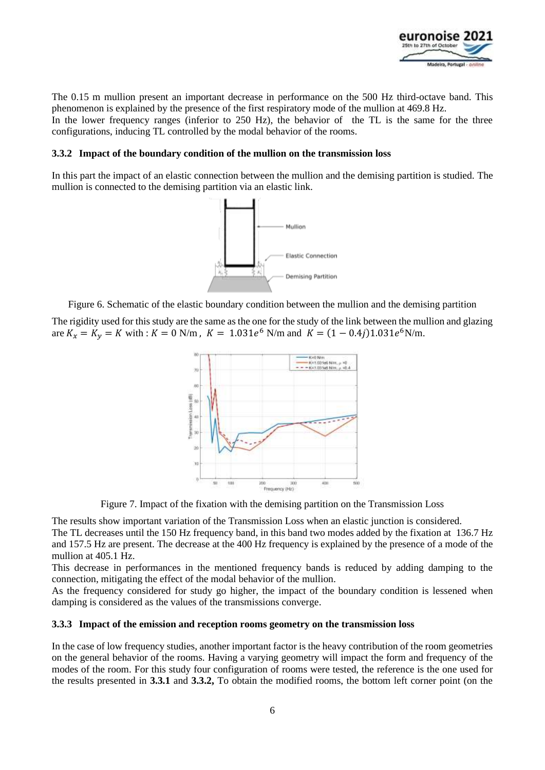

The 0.15 m mullion present an important decrease in performance on the 500 Hz third-octave band. This phenomenon is explained by the presence of the first respiratory mode of the mullion at 469.8 Hz.

In the lower frequency ranges (inferior to 250 Hz), the behavior of the TL is the same for the three configurations, inducing TL controlled by the modal behavior of the rooms.

### **3.3.2 Impact of the boundary condition of the mullion on the transmission loss**

In this part the impact of an elastic connection between the mullion and the demising partition is studied. The mullion is connected to the demising partition via an elastic link.



Figure 6. Schematic of the elastic boundary condition between the mullion and the demising partition

The rigidity used for this study are the same as the one for the study of the link between the mullion and glazing are  $K_x = K_y = K$  with :  $K = 0$  N/m,  $K = 1.031e^6$  N/m and  $K = (1 - 0.4j)1.031e^6$  N/m.



Figure 7. Impact of the fixation with the demising partition on the Transmission Loss

The results show important variation of the Transmission Loss when an elastic junction is considered.

The TL decreases until the 150 Hz frequency band, in this band two modes added by the fixation at 136.7 Hz and 157.5 Hz are present. The decrease at the 400 Hz frequency is explained by the presence of a mode of the mullion at 405.1 Hz.

This decrease in performances in the mentioned frequency bands is reduced by adding damping to the connection, mitigating the effect of the modal behavior of the mullion.

As the frequency considered for study go higher, the impact of the boundary condition is lessened when damping is considered as the values of the transmissions converge.

#### **3.3.3 Impact of the emission and reception rooms geometry on the transmission loss**

In the case of low frequency studies, another important factor is the heavy contribution of the room geometries on the general behavior of the rooms. Having a varying geometry will impact the form and frequency of the modes of the room. For this study four configuration of rooms were tested, the reference is the one used for the results presented in **3.3.1** and **3.3.2,** To obtain the modified rooms, the bottom left corner point (on the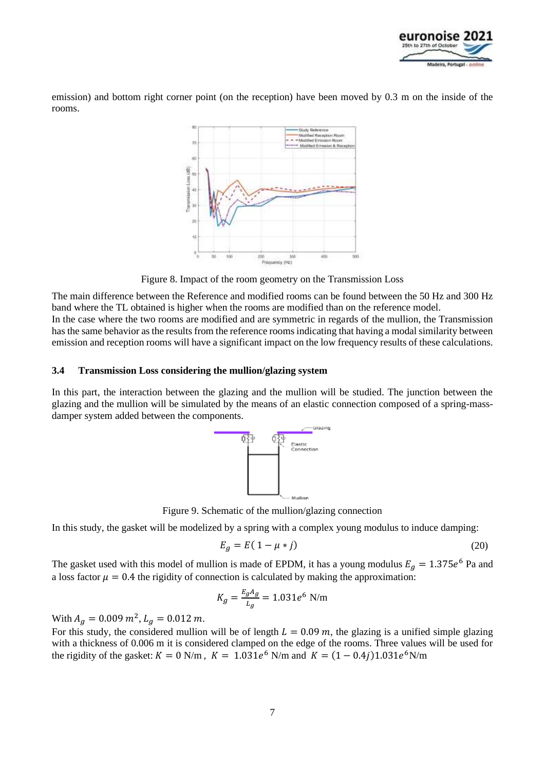

emission) and bottom right corner point (on the reception) have been moved by 0.3 m on the inside of the rooms.



Figure 8. Impact of the room geometry on the Transmission Loss

The main difference between the Reference and modified rooms can be found between the 50 Hz and 300 Hz band where the TL obtained is higher when the rooms are modified than on the reference model. In the case where the two rooms are modified and are symmetric in regards of the mullion, the Transmission has the same behavior as the results from the reference rooms indicating that having a modal similarity between emission and reception rooms will have a significant impact on the low frequency results of these calculations.

## **3.4 Transmission Loss considering the mullion/glazing system**

In this part, the interaction between the glazing and the mullion will be studied. The junction between the glazing and the mullion will be simulated by the means of an elastic connection composed of a spring-massdamper system added between the components.



Figure 9. Schematic of the mullion/glazing connection

In this study, the gasket will be modelized by a spring with a complex young modulus to induce damping:

$$
E_g = E(1 - \mu * j) \tag{20}
$$

The gasket used with this model of mullion is made of EPDM, it has a young modulus  $E_g = 1.375e^6$  Pa and a loss factor  $\mu = 0.4$  the rigidity of connection is calculated by making the approximation:

$$
K_g = \frac{E_g A_g}{L_g} = 1.031e^6 \text{ N/m}
$$

With  $A_g = 0.009 \, m^2$ ,  $L_g = 0.012 \, m$ .

For this study, the considered mullion will be of length  $L = 0.09$  m, the glazing is a unified simple glazing with a thickness of 0.006 m it is considered clamped on the edge of the rooms. Three values will be used for the rigidity of the gasket:  $K = 0$  N/m,  $K = 1.031e^{6}$  N/m and  $K = (1 - 0.4j)1.031e^{6}$  N/m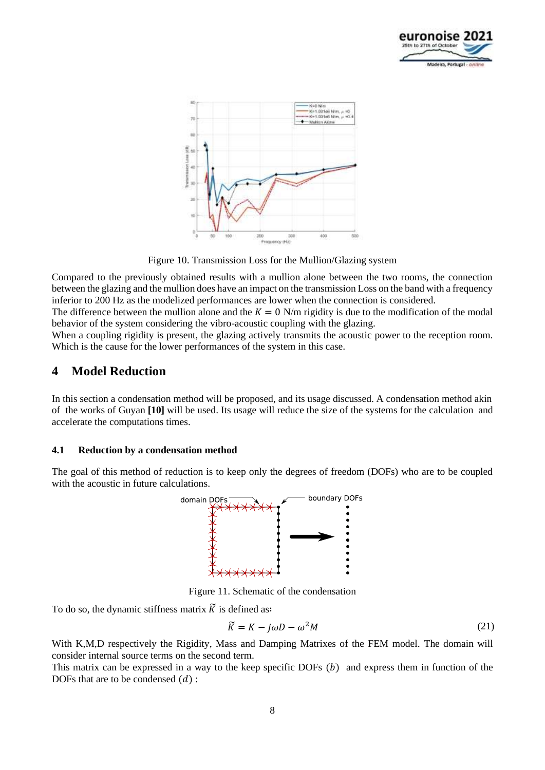



Figure 10. Transmission Loss for the Mullion/Glazing system

Compared to the previously obtained results with a mullion alone between the two rooms, the connection between the glazing and the mullion does have an impact on the transmission Loss on the band with a frequency inferior to 200 Hz as the modelized performances are lower when the connection is considered.

The difference between the mullion alone and the  $K = 0$  N/m rigidity is due to the modification of the modal behavior of the system considering the vibro-acoustic coupling with the glazing.

When a coupling rigidity is present, the glazing actively transmits the acoustic power to the reception room. Which is the cause for the lower performances of the system in this case.

## **4 Model Reduction**

In this section a condensation method will be proposed, and its usage discussed. A condensation method akin of the works of Guyan **[10]** will be used. Its usage will reduce the size of the systems for the calculation and accelerate the computations times.

## **4.1 Reduction by a condensation method**

The goal of this method of reduction is to keep only the degrees of freedom (DOFs) who are to be coupled with the acoustic in future calculations.



Figure 11. Schematic of the condensation

To do so, the dynamic stiffness matrix  $\widetilde{K}$  is defined as:

$$
\widetilde{K} = K - j\omega D - \omega^2 M \tag{21}
$$

With K,M,D respectively the Rigidity, Mass and Damping Matrixes of the FEM model. The domain will consider internal source terms on the second term.

This matrix can be expressed in a way to the keep specific DOFs  $(b)$  and express them in function of the DOFs that are to be condensed  $(d)$ :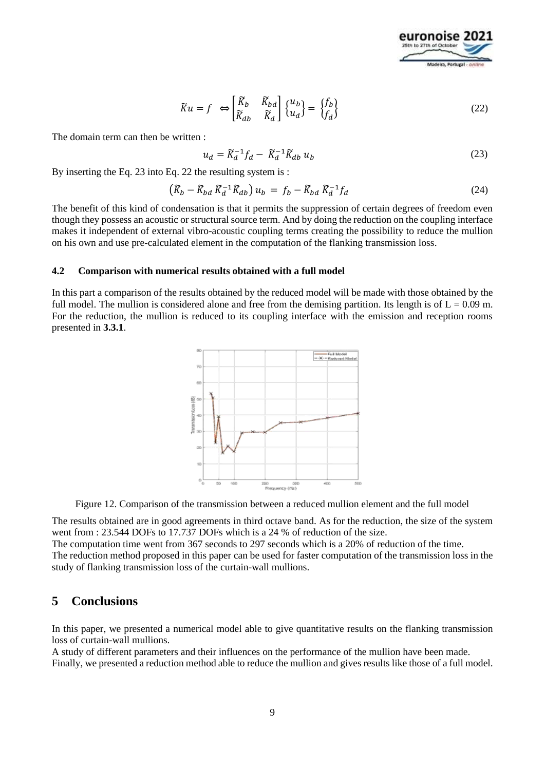

$$
\widetilde{K}u = f \iff \begin{bmatrix} \widetilde{K}_b & \widetilde{K}_{bd} \\ \widetilde{K}_{db} & \widetilde{K}_d \end{bmatrix} \begin{Bmatrix} u_b \\ u_d \end{Bmatrix} = \begin{Bmatrix} f_b \\ f_d \end{Bmatrix} \tag{22}
$$

The domain term can then be written :

$$
u_d = \widetilde{K}_d^{-1} f_d - \widetilde{K}_d^{-1} \widetilde{K}_{db} u_b \tag{23}
$$

By inserting the Eq. 23 into Eq. 22 the resulting system is :

$$
\left(\widetilde{K}_b - \widetilde{K}_{bd} \, \widetilde{K}_d^{-1} \widetilde{K}_{db}\right) u_b = f_b - \widetilde{K}_{bd} \, \widetilde{K}_d^{-1} f_d \tag{24}
$$

The benefit of this kind of condensation is that it permits the suppression of certain degrees of freedom even though they possess an acoustic or structural source term. And by doing the reduction on the coupling interface makes it independent of external vibro-acoustic coupling terms creating the possibility to reduce the mullion on his own and use pre-calculated element in the computation of the flanking transmission loss.

#### **4.2 Comparison with numerical results obtained with a full model**

In this part a comparison of the results obtained by the reduced model will be made with those obtained by the full model. The mullion is considered alone and free from the demising partition. Its length is of  $L = 0.09$  m. For the reduction, the mullion is reduced to its coupling interface with the emission and reception rooms presented in **3.3.1**.



Figure 12. Comparison of the transmission between a reduced mullion element and the full model

The results obtained are in good agreements in third octave band. As for the reduction, the size of the system went from : 23.544 DOFs to 17.737 DOFs which is a 24 % of reduction of the size.

The computation time went from 367 seconds to 297 seconds which is a 20% of reduction of the time. The reduction method proposed in this paper can be used for faster computation of the transmission loss in the study of flanking transmission loss of the curtain-wall mullions.

## **5 Conclusions**

In this paper, we presented a numerical model able to give quantitative results on the flanking transmission loss of curtain-wall mullions.

A study of different parameters and their influences on the performance of the mullion have been made. Finally, we presented a reduction method able to reduce the mullion and gives results like those of a full model.